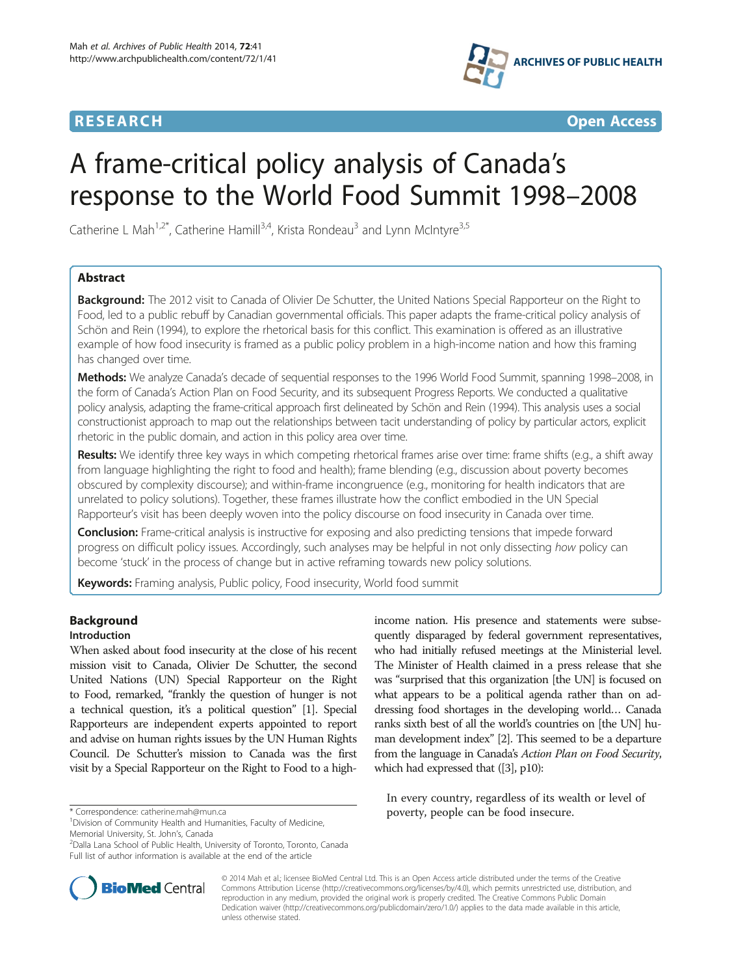## **RESEARCH CHE Open Access**



# A frame-critical policy analysis of Canada's response to the World Food Summit 1998–2008

Catherine L Mah<sup>1,2\*</sup>, Catherine Hamill<sup>3,4</sup>, Krista Rondeau<sup>3</sup> and Lynn McIntyre<sup>3,5</sup>

## Abstract

Background: The 2012 visit to Canada of Olivier De Schutter, the United Nations Special Rapporteur on the Right to Food, led to a public rebuff by Canadian governmental officials. This paper adapts the frame-critical policy analysis of Schön and Rein (1994), to explore the rhetorical basis for this conflict. This examination is offered as an illustrative example of how food insecurity is framed as a public policy problem in a high-income nation and how this framing has changed over time.

Methods: We analyze Canada's decade of sequential responses to the 1996 World Food Summit, spanning 1998–2008, in the form of Canada's Action Plan on Food Security, and its subsequent Progress Reports. We conducted a qualitative policy analysis, adapting the frame-critical approach first delineated by Schön and Rein (1994). This analysis uses a social constructionist approach to map out the relationships between tacit understanding of policy by particular actors, explicit rhetoric in the public domain, and action in this policy area over time.

Results: We identify three key ways in which competing rhetorical frames arise over time: frame shifts (e.g., a shift away from language highlighting the right to food and health); frame blending (e.g., discussion about poverty becomes obscured by complexity discourse); and within-frame incongruence (e.g., monitoring for health indicators that are unrelated to policy solutions). Together, these frames illustrate how the conflict embodied in the UN Special Rapporteur's visit has been deeply woven into the policy discourse on food insecurity in Canada over time.

Conclusion: Frame-critical analysis is instructive for exposing and also predicting tensions that impede forward progress on difficult policy issues. Accordingly, such analyses may be helpful in not only dissecting how policy can become 'stuck' in the process of change but in active reframing towards new policy solutions.

Keywords: Framing analysis, Public policy, Food insecurity, World food summit

## Background

#### Introduction

When asked about food insecurity at the close of his recent mission visit to Canada, Olivier De Schutter, the second United Nations (UN) Special Rapporteur on the Right to Food, remarked, "frankly the question of hunger is not a technical question, it's a political question" [\[1\]](#page-5-0). Special Rapporteurs are independent experts appointed to report and advise on human rights issues by the UN Human Rights Council. De Schutter's mission to Canada was the first visit by a Special Rapporteur on the Right to Food to a high-

<sup>2</sup>Dalla Lana School of Public Health, University of Toronto, Toronto, Canada Full list of author information is available at the end of the article

income nation. His presence and statements were subsequently disparaged by federal government representatives, who had initially refused meetings at the Ministerial level. The Minister of Health claimed in a press release that she was "surprised that this organization [the UN] is focused on what appears to be a political agenda rather than on addressing food shortages in the developing world… Canada ranks sixth best of all the world's countries on [the UN] human development index" [[2](#page-5-0)]. This seemed to be a departure from the language in Canada's Action Plan on Food Security, which had expressed that ([\[3\]](#page-5-0), p10):

In every country, regardless of its wealth or level of \* Correspondence: [catherine.mah@mun.ca](mailto:catherine.mah@mun.ca) poverty, people can be food insecure. <sup>1</sup>



© 2014 Mah et al.; licensee BioMed Central Ltd. This is an Open Access article distributed under the terms of the Creative Commons Attribution License [\(http://creativecommons.org/licenses/by/4.0\)](http://creativecommons.org/licenses/by/4.0), which permits unrestricted use, distribution, and reproduction in any medium, provided the original work is properly credited. The Creative Commons Public Domain Dedication waiver [\(http://creativecommons.org/publicdomain/zero/1.0/](http://creativecommons.org/publicdomain/zero/1.0/)) applies to the data made available in this article, unless otherwise stated.

<sup>&</sup>lt;sup>1</sup> Division of Community Health and Humanities, Faculty of Medicine, Memorial University, St. John's, Canada <sup>2</sup>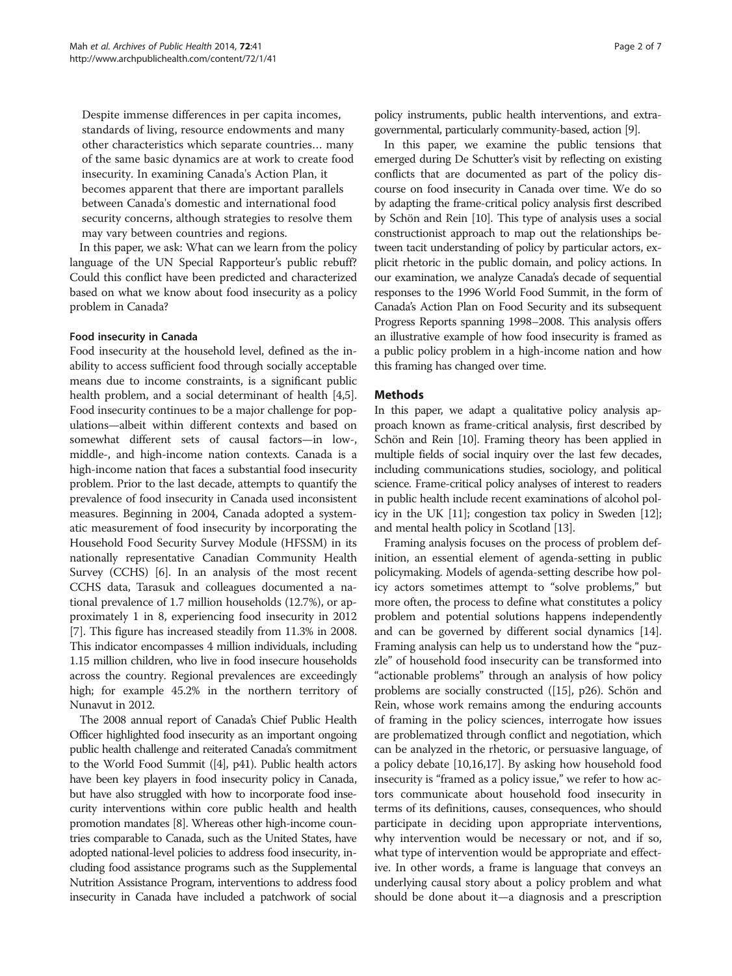Despite immense differences in per capita incomes, standards of living, resource endowments and many other characteristics which separate countries… many of the same basic dynamics are at work to create food insecurity. In examining Canada's Action Plan, it becomes apparent that there are important parallels between Canada's domestic and international food security concerns, although strategies to resolve them may vary between countries and regions.

In this paper, we ask: What can we learn from the policy language of the UN Special Rapporteur's public rebuff? Could this conflict have been predicted and characterized based on what we know about food insecurity as a policy problem in Canada?

#### Food insecurity in Canada

Food insecurity at the household level, defined as the inability to access sufficient food through socially acceptable means due to income constraints, is a significant public health problem, and a social determinant of health [[4](#page-5-0),[5](#page-5-0)]. Food insecurity continues to be a major challenge for populations—albeit within different contexts and based on somewhat different sets of causal factors—in low-, middle-, and high-income nation contexts. Canada is a high-income nation that faces a substantial food insecurity problem. Prior to the last decade, attempts to quantify the prevalence of food insecurity in Canada used inconsistent measures. Beginning in 2004, Canada adopted a systematic measurement of food insecurity by incorporating the Household Food Security Survey Module (HFSSM) in its nationally representative Canadian Community Health Survey (CCHS) [\[6](#page-5-0)]. In an analysis of the most recent CCHS data, Tarasuk and colleagues documented a national prevalence of 1.7 million households (12.7%), or approximately 1 in 8, experiencing food insecurity in 2012 [[7\]](#page-5-0). This figure has increased steadily from 11.3% in 2008. This indicator encompasses 4 million individuals, including 1.15 million children, who live in food insecure households across the country. Regional prevalences are exceedingly high; for example 45.2% in the northern territory of Nunavut in 2012.

The 2008 annual report of Canada's Chief Public Health Officer highlighted food insecurity as an important ongoing public health challenge and reiterated Canada's commitment to the World Food Summit ([\[4](#page-5-0)], p41). Public health actors have been key players in food insecurity policy in Canada, but have also struggled with how to incorporate food insecurity interventions within core public health and health promotion mandates [\[8](#page-5-0)]. Whereas other high-income countries comparable to Canada, such as the United States, have adopted national-level policies to address food insecurity, including food assistance programs such as the Supplemental Nutrition Assistance Program, interventions to address food insecurity in Canada have included a patchwork of social

policy instruments, public health interventions, and extragovernmental, particularly community-based, action [\[9](#page-5-0)].

In this paper, we examine the public tensions that emerged during De Schutter's visit by reflecting on existing conflicts that are documented as part of the policy discourse on food insecurity in Canada over time. We do so by adapting the frame-critical policy analysis first described by Schön and Rein [\[10](#page-5-0)]. This type of analysis uses a social constructionist approach to map out the relationships between tacit understanding of policy by particular actors, explicit rhetoric in the public domain, and policy actions. In our examination, we analyze Canada's decade of sequential responses to the 1996 World Food Summit, in the form of Canada's Action Plan on Food Security and its subsequent Progress Reports spanning 1998–2008. This analysis offers an illustrative example of how food insecurity is framed as a public policy problem in a high-income nation and how this framing has changed over time.

## **Methods**

In this paper, we adapt a qualitative policy analysis approach known as frame-critical analysis, first described by Schön and Rein [[10](#page-5-0)]. Framing theory has been applied in multiple fields of social inquiry over the last few decades, including communications studies, sociology, and political science. Frame-critical policy analyses of interest to readers in public health include recent examinations of alcohol policy in the UK [[11](#page-5-0)]; congestion tax policy in Sweden [\[12](#page-5-0)]; and mental health policy in Scotland [[13](#page-5-0)].

Framing analysis focuses on the process of problem definition, an essential element of agenda-setting in public policymaking. Models of agenda-setting describe how policy actors sometimes attempt to "solve problems," but more often, the process to define what constitutes a policy problem and potential solutions happens independently and can be governed by different social dynamics [[14](#page-5-0)]. Framing analysis can help us to understand how the "puzzle" of household food insecurity can be transformed into "actionable problems" through an analysis of how policy problems are socially constructed ([\[15\]](#page-5-0), p26). Schön and Rein, whose work remains among the enduring accounts of framing in the policy sciences, interrogate how issues are problematized through conflict and negotiation, which can be analyzed in the rhetoric, or persuasive language, of a policy debate [\[10,](#page-5-0)[16,17](#page-6-0)]. By asking how household food insecurity is "framed as a policy issue," we refer to how actors communicate about household food insecurity in terms of its definitions, causes, consequences, who should participate in deciding upon appropriate interventions, why intervention would be necessary or not, and if so, what type of intervention would be appropriate and effective. In other words, a frame is language that conveys an underlying causal story about a policy problem and what should be done about it—a diagnosis and a prescription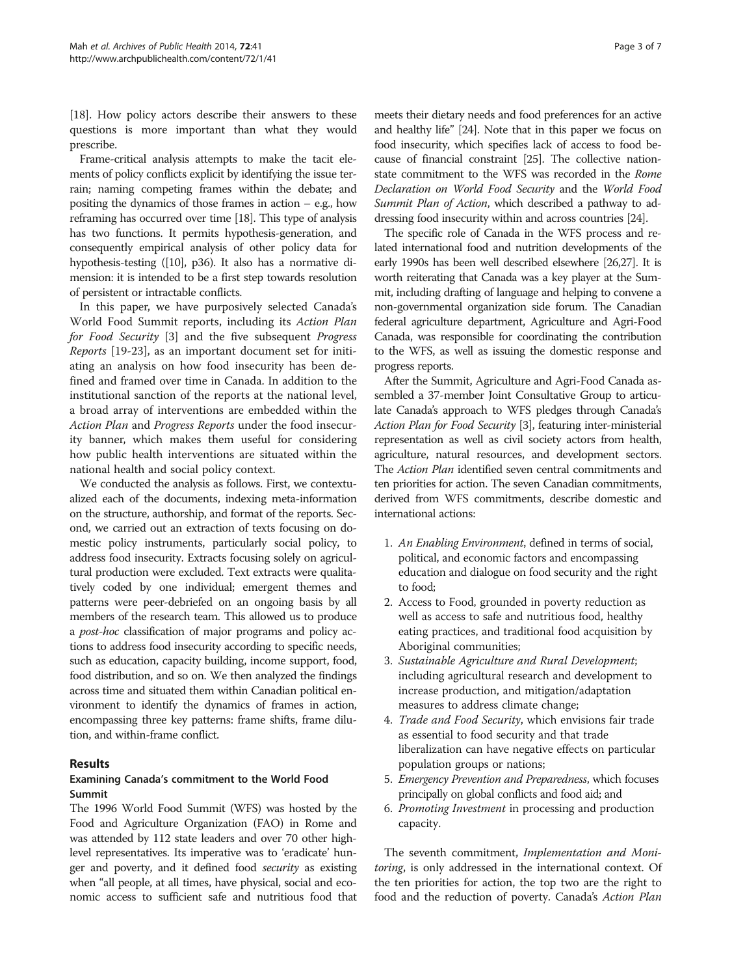[[18](#page-6-0)]. How policy actors describe their answers to these questions is more important than what they would prescribe.

Frame-critical analysis attempts to make the tacit elements of policy conflicts explicit by identifying the issue terrain; naming competing frames within the debate; and positing the dynamics of those frames in action  $-$  e.g., how reframing has occurred over time [[18](#page-6-0)]. This type of analysis has two functions. It permits hypothesis-generation, and consequently empirical analysis of other policy data for hypothesis-testing ([\[10\]](#page-5-0), p36). It also has a normative dimension: it is intended to be a first step towards resolution of persistent or intractable conflicts.

In this paper, we have purposively selected Canada's World Food Summit reports, including its Action Plan for Food Security [\[3](#page-5-0)] and the five subsequent Progress Reports [[19](#page-6-0)-[23\]](#page-6-0), as an important document set for initiating an analysis on how food insecurity has been defined and framed over time in Canada. In addition to the institutional sanction of the reports at the national level, a broad array of interventions are embedded within the Action Plan and Progress Reports under the food insecurity banner, which makes them useful for considering how public health interventions are situated within the national health and social policy context.

We conducted the analysis as follows. First, we contextualized each of the documents, indexing meta-information on the structure, authorship, and format of the reports. Second, we carried out an extraction of texts focusing on domestic policy instruments, particularly social policy, to address food insecurity. Extracts focusing solely on agricultural production were excluded. Text extracts were qualitatively coded by one individual; emergent themes and patterns were peer-debriefed on an ongoing basis by all members of the research team. This allowed us to produce a post-hoc classification of major programs and policy actions to address food insecurity according to specific needs, such as education, capacity building, income support, food, food distribution, and so on. We then analyzed the findings across time and situated them within Canadian political environment to identify the dynamics of frames in action, encompassing three key patterns: frame shifts, frame dilution, and within-frame conflict.

## Results

## Examining Canada's commitment to the World Food Summit

The 1996 World Food Summit (WFS) was hosted by the Food and Agriculture Organization (FAO) in Rome and was attended by 112 state leaders and over 70 other highlevel representatives. Its imperative was to 'eradicate' hunger and poverty, and it defined food security as existing when "all people, at all times, have physical, social and economic access to sufficient safe and nutritious food that

meets their dietary needs and food preferences for an active and healthy life" [\[24](#page-6-0)]. Note that in this paper we focus on food insecurity, which specifies lack of access to food because of financial constraint [[25](#page-6-0)]. The collective nationstate commitment to the WFS was recorded in the Rome Declaration on World Food Security and the World Food Summit Plan of Action, which described a pathway to addressing food insecurity within and across countries [\[24\]](#page-6-0).

The specific role of Canada in the WFS process and related international food and nutrition developments of the early 1990s has been well described elsewhere [\[26,27](#page-6-0)]. It is worth reiterating that Canada was a key player at the Summit, including drafting of language and helping to convene a non-governmental organization side forum. The Canadian federal agriculture department, Agriculture and Agri-Food Canada, was responsible for coordinating the contribution to the WFS, as well as issuing the domestic response and progress reports.

After the Summit, Agriculture and Agri-Food Canada assembled a 37-member Joint Consultative Group to articulate Canada's approach to WFS pledges through Canada's Action Plan for Food Security [\[3](#page-5-0)], featuring inter-ministerial representation as well as civil society actors from health, agriculture, natural resources, and development sectors. The Action Plan identified seven central commitments and ten priorities for action. The seven Canadian commitments, derived from WFS commitments, describe domestic and international actions:

- 1. An Enabling Environment, defined in terms of social, political, and economic factors and encompassing education and dialogue on food security and the right to food;
- 2. Access to Food, grounded in poverty reduction as well as access to safe and nutritious food, healthy eating practices, and traditional food acquisition by Aboriginal communities;
- 3. Sustainable Agriculture and Rural Development; including agricultural research and development to increase production, and mitigation/adaptation measures to address climate change;
- 4. Trade and Food Security, which envisions fair trade as essential to food security and that trade liberalization can have negative effects on particular population groups or nations;
- 5. Emergency Prevention and Preparedness, which focuses principally on global conflicts and food aid; and
- 6. Promoting Investment in processing and production capacity.

The seventh commitment, Implementation and Monitoring, is only addressed in the international context. Of the ten priorities for action, the top two are the right to food and the reduction of poverty. Canada's Action Plan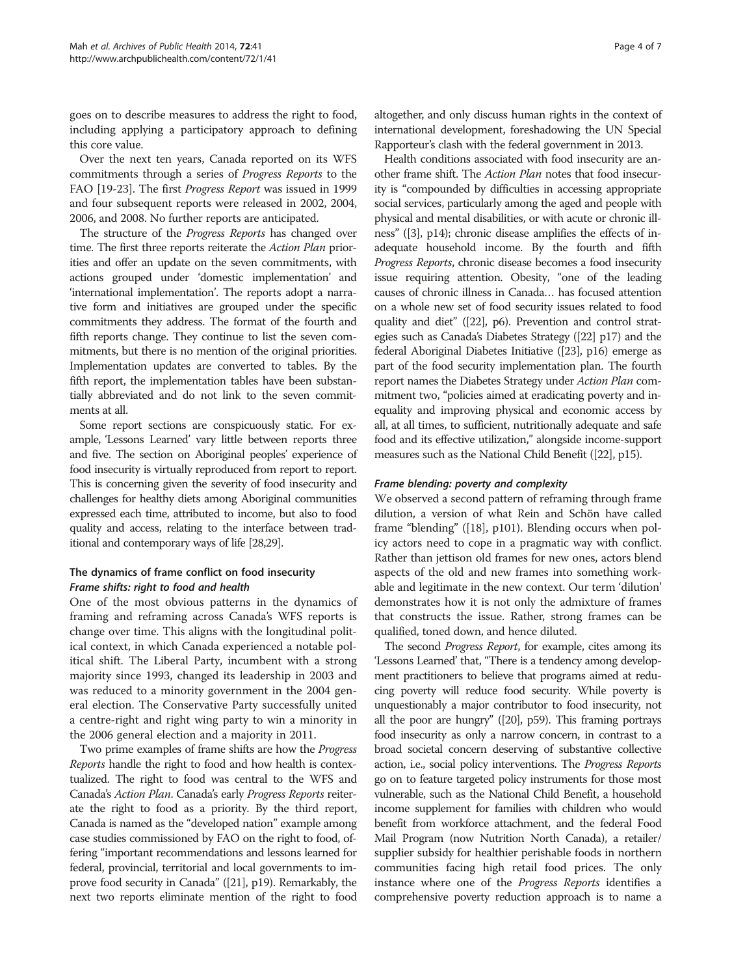goes on to describe measures to address the right to food, including applying a participatory approach to defining this core value.

Over the next ten years, Canada reported on its WFS commitments through a series of Progress Reports to the FAO [\[19-23\]](#page-6-0). The first Progress Report was issued in 1999 and four subsequent reports were released in 2002, 2004, 2006, and 2008. No further reports are anticipated.

The structure of the Progress Reports has changed over time. The first three reports reiterate the Action Plan priorities and offer an update on the seven commitments, with actions grouped under 'domestic implementation' and 'international implementation'. The reports adopt a narrative form and initiatives are grouped under the specific commitments they address. The format of the fourth and fifth reports change. They continue to list the seven commitments, but there is no mention of the original priorities. Implementation updates are converted to tables. By the fifth report, the implementation tables have been substantially abbreviated and do not link to the seven commitments at all.

Some report sections are conspicuously static. For example, 'Lessons Learned' vary little between reports three and five. The section on Aboriginal peoples' experience of food insecurity is virtually reproduced from report to report. This is concerning given the severity of food insecurity and challenges for healthy diets among Aboriginal communities expressed each time, attributed to income, but also to food quality and access, relating to the interface between traditional and contemporary ways of life [\[28,29\]](#page-6-0).

## The dynamics of frame conflict on food insecurity Frame shifts: right to food and health

One of the most obvious patterns in the dynamics of framing and reframing across Canada's WFS reports is change over time. This aligns with the longitudinal political context, in which Canada experienced a notable political shift. The Liberal Party, incumbent with a strong majority since 1993, changed its leadership in 2003 and was reduced to a minority government in the 2004 general election. The Conservative Party successfully united a centre-right and right wing party to win a minority in the 2006 general election and a majority in 2011.

Two prime examples of frame shifts are how the *Progress* Reports handle the right to food and how health is contextualized. The right to food was central to the WFS and Canada's Action Plan. Canada's early Progress Reports reiterate the right to food as a priority. By the third report, Canada is named as the "developed nation" example among case studies commissioned by FAO on the right to food, offering "important recommendations and lessons learned for federal, provincial, territorial and local governments to improve food security in Canada" ([\[21\]](#page-6-0), p19). Remarkably, the next two reports eliminate mention of the right to food altogether, and only discuss human rights in the context of international development, foreshadowing the UN Special Rapporteur's clash with the federal government in 2013.

Health conditions associated with food insecurity are another frame shift. The Action Plan notes that food insecurity is "compounded by difficulties in accessing appropriate social services, particularly among the aged and people with physical and mental disabilities, or with acute or chronic illness" ([\[3\]](#page-5-0), p14); chronic disease amplifies the effects of inadequate household income. By the fourth and fifth Progress Reports, chronic disease becomes a food insecurity issue requiring attention. Obesity, "one of the leading causes of chronic illness in Canada… has focused attention on a whole new set of food security issues related to food quality and diet" ([\[22\]](#page-6-0), p6). Prevention and control strategies such as Canada's Diabetes Strategy ([[22\]](#page-6-0) p17) and the federal Aboriginal Diabetes Initiative ([[23\]](#page-6-0), p16) emerge as part of the food security implementation plan. The fourth report names the Diabetes Strategy under Action Plan commitment two, "policies aimed at eradicating poverty and inequality and improving physical and economic access by all, at all times, to sufficient, nutritionally adequate and safe food and its effective utilization," alongside income-support measures such as the National Child Benefit ([\[22\]](#page-6-0), p15).

## Frame blending: poverty and complexity

We observed a second pattern of reframing through frame dilution, a version of what Rein and Schön have called frame "blending" ([[18](#page-6-0)], p101). Blending occurs when policy actors need to cope in a pragmatic way with conflict. Rather than jettison old frames for new ones, actors blend aspects of the old and new frames into something workable and legitimate in the new context. Our term 'dilution' demonstrates how it is not only the admixture of frames that constructs the issue. Rather, strong frames can be qualified, toned down, and hence diluted.

The second Progress Report, for example, cites among its 'Lessons Learned' that, "There is a tendency among development practitioners to believe that programs aimed at reducing poverty will reduce food security. While poverty is unquestionably a major contributor to food insecurity, not all the poor are hungry" ([\[20](#page-6-0)], p59). This framing portrays food insecurity as only a narrow concern, in contrast to a broad societal concern deserving of substantive collective action, i.e., social policy interventions. The Progress Reports go on to feature targeted policy instruments for those most vulnerable, such as the National Child Benefit, a household income supplement for families with children who would benefit from workforce attachment, and the federal Food Mail Program (now Nutrition North Canada), a retailer/ supplier subsidy for healthier perishable foods in northern communities facing high retail food prices. The only instance where one of the Progress Reports identifies a comprehensive poverty reduction approach is to name a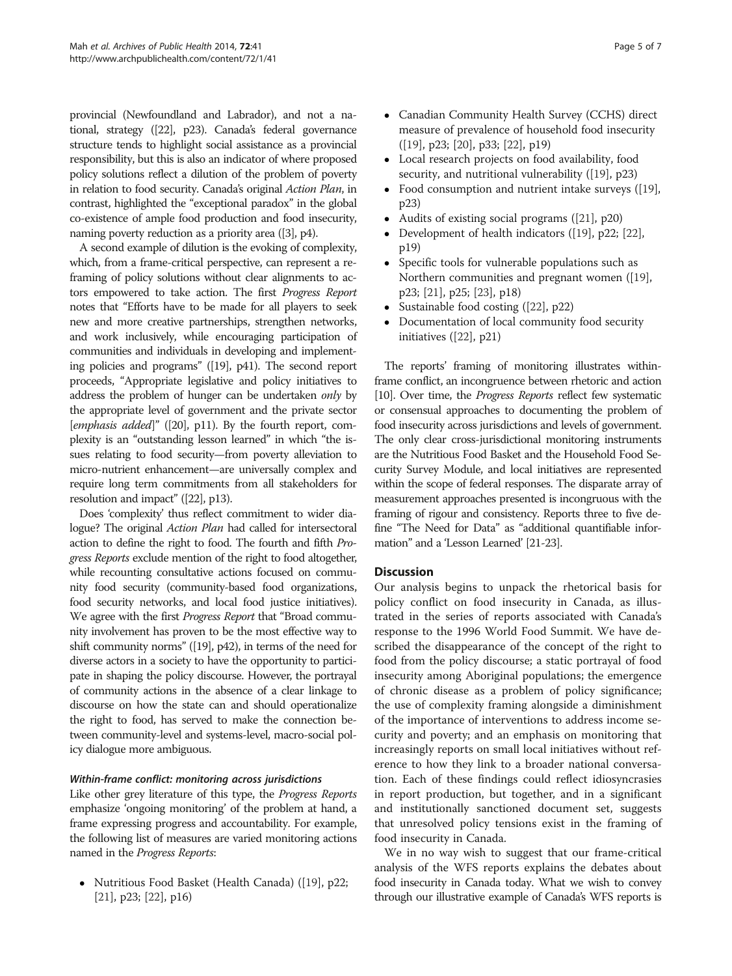provincial (Newfoundland and Labrador), and not a national, strategy ([[22\]](#page-6-0), p23). Canada's federal governance structure tends to highlight social assistance as a provincial responsibility, but this is also an indicator of where proposed policy solutions reflect a dilution of the problem of poverty in relation to food security. Canada's original Action Plan, in contrast, highlighted the "exceptional paradox" in the global co-existence of ample food production and food insecurity, naming poverty reduction as a priority area ([\[3\]](#page-5-0), p4).

A second example of dilution is the evoking of complexity, which, from a frame-critical perspective, can represent a reframing of policy solutions without clear alignments to actors empowered to take action. The first Progress Report notes that "Efforts have to be made for all players to seek new and more creative partnerships, strengthen networks, and work inclusively, while encouraging participation of communities and individuals in developing and implementing policies and programs" ([\[19\]](#page-6-0), p41). The second report proceeds, "Appropriate legislative and policy initiatives to address the problem of hunger can be undertaken only by the appropriate level of government and the private sector [emphasis added]" ([[20\]](#page-6-0), p11). By the fourth report, complexity is an "outstanding lesson learned" in which "the issues relating to food security—from poverty alleviation to micro-nutrient enhancement—are universally complex and require long term commitments from all stakeholders for resolution and impact" ([\[22](#page-6-0)], p13).

Does 'complexity' thus reflect commitment to wider dialogue? The original Action Plan had called for intersectoral action to define the right to food. The fourth and fifth Progress Reports exclude mention of the right to food altogether, while recounting consultative actions focused on community food security (community-based food organizations, food security networks, and local food justice initiatives). We agree with the first Progress Report that "Broad community involvement has proven to be the most effective way to shift community norms" ([\[19](#page-6-0)], p42), in terms of the need for diverse actors in a society to have the opportunity to participate in shaping the policy discourse. However, the portrayal of community actions in the absence of a clear linkage to discourse on how the state can and should operationalize the right to food, has served to make the connection between community-level and systems-level, macro-social policy dialogue more ambiguous.

## Within-frame conflict: monitoring across jurisdictions

Like other grey literature of this type, the Progress Reports emphasize 'ongoing monitoring' of the problem at hand, a frame expressing progress and accountability. For example, the following list of measures are varied monitoring actions named in the Progress Reports:

• Nutritious Food Basket (Health Canada) ([[19](#page-6-0)], p22; [[21](#page-6-0)], p23; [[22](#page-6-0)], p16)

- Canadian Community Health Survey (CCHS) direct measure of prevalence of household food insecurity ([\[19\]](#page-6-0), p23; [[20\]](#page-6-0), p33; [[22](#page-6-0)], p19)
- Local research projects on food availability, food security, and nutritional vulnerability ([\[19\]](#page-6-0), p23)
- Food consumption and nutrient intake surveys ([[19](#page-6-0)], p23)
- Audits of existing social programs ([\[21\]](#page-6-0), p20)
- Development of health indicators ([[19\]](#page-6-0), p22; [[22](#page-6-0)], p19)
- Specific tools for vulnerable populations such as Northern communities and pregnant women ([[19\]](#page-6-0), p23; [[21](#page-6-0)], p25; [[23](#page-6-0)], p18)
- Sustainable food costing ([\[22](#page-6-0)], p22)
- Documentation of local community food security initiatives ([\[22\]](#page-6-0), p21)

The reports' framing of monitoring illustrates withinframe conflict, an incongruence between rhetoric and action [[10\]](#page-5-0). Over time, the *Progress Reports* reflect few systematic or consensual approaches to documenting the problem of food insecurity across jurisdictions and levels of government. The only clear cross-jurisdictional monitoring instruments are the Nutritious Food Basket and the Household Food Security Survey Module, and local initiatives are represented within the scope of federal responses. The disparate array of measurement approaches presented is incongruous with the framing of rigour and consistency. Reports three to five define "The Need for Data" as "additional quantifiable information" and a 'Lesson Learned' [\[21](#page-6-0)-[23\]](#page-6-0).

## **Discussion**

Our analysis begins to unpack the rhetorical basis for policy conflict on food insecurity in Canada, as illustrated in the series of reports associated with Canada's response to the 1996 World Food Summit. We have described the disappearance of the concept of the right to food from the policy discourse; a static portrayal of food insecurity among Aboriginal populations; the emergence of chronic disease as a problem of policy significance; the use of complexity framing alongside a diminishment of the importance of interventions to address income security and poverty; and an emphasis on monitoring that increasingly reports on small local initiatives without reference to how they link to a broader national conversation. Each of these findings could reflect idiosyncrasies in report production, but together, and in a significant and institutionally sanctioned document set, suggests that unresolved policy tensions exist in the framing of food insecurity in Canada.

We in no way wish to suggest that our frame-critical analysis of the WFS reports explains the debates about food insecurity in Canada today. What we wish to convey through our illustrative example of Canada's WFS reports is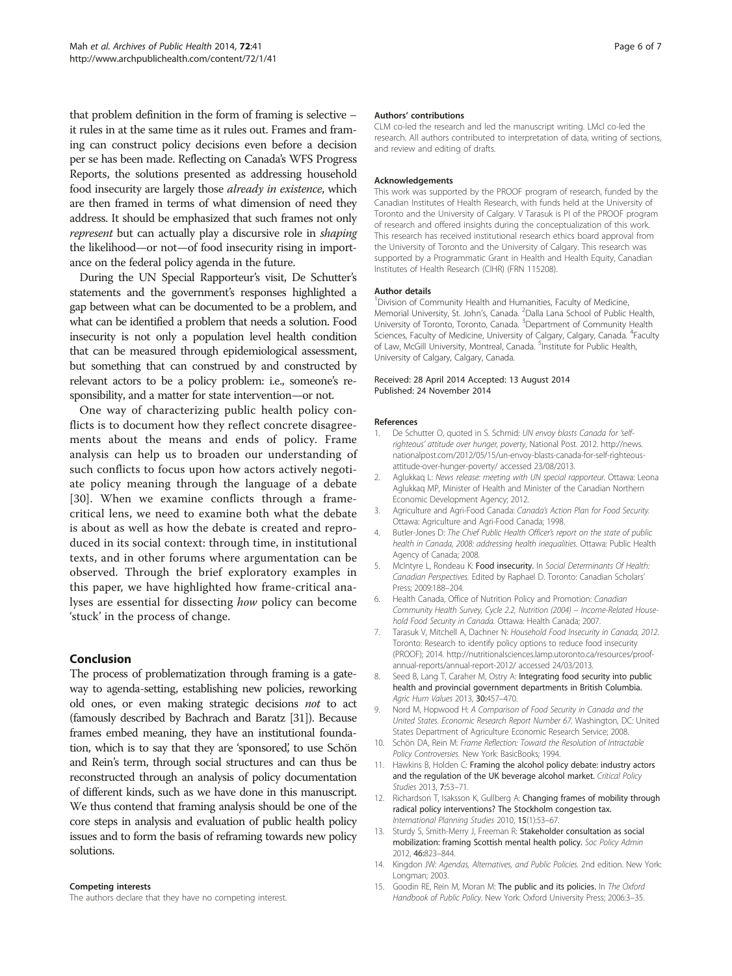<span id="page-5-0"></span>that problem definition in the form of framing is selective – it rules in at the same time as it rules out. Frames and framing can construct policy decisions even before a decision per se has been made. Reflecting on Canada's WFS Progress Reports, the solutions presented as addressing household food insecurity are largely those already in existence, which are then framed in terms of what dimension of need they address. It should be emphasized that such frames not only represent but can actually play a discursive role in shaping the likelihood—or not—of food insecurity rising in importance on the federal policy agenda in the future.

During the UN Special Rapporteur's visit, De Schutter's statements and the government's responses highlighted a gap between what can be documented to be a problem, and what can be identified a problem that needs a solution. Food insecurity is not only a population level health condition that can be measured through epidemiological assessment, but something that can construed by and constructed by relevant actors to be a policy problem: i.e., someone's responsibility, and a matter for state intervention—or not.

One way of characterizing public health policy conflicts is to document how they reflect concrete disagreements about the means and ends of policy. Frame analysis can help us to broaden our understanding of such conflicts to focus upon how actors actively negotiate policy meaning through the language of a debate [[30\]](#page-6-0). When we examine conflicts through a framecritical lens, we need to examine both what the debate is about as well as how the debate is created and reproduced in its social context: through time, in institutional texts, and in other forums where argumentation can be observed. Through the brief exploratory examples in this paper, we have highlighted how frame-critical analyses are essential for dissecting how policy can become 'stuck' in the process of change.

## Conclusion

The process of problematization through framing is a gateway to agenda-setting, establishing new policies, reworking old ones, or even making strategic decisions not to act (famously described by Bachrach and Baratz [[31](#page-6-0)]). Because frames embed meaning, they have an institutional foundation, which is to say that they are 'sponsored, to use Schön ' and Rein's term, through social structures and can thus be reconstructed through an analysis of policy documentation of different kinds, such as we have done in this manuscript. We thus contend that framing analysis should be one of the core steps in analysis and evaluation of public health policy issues and to form the basis of reframing towards new policy solutions.

#### Competing interests

The authors declare that they have no competing interest.

#### Authors' contributions

CLM co-led the research and led the manuscript writing. LMcI co-led the research. All authors contributed to interpretation of data, writing of sections, and review and editing of drafts.

#### Acknowledgements

This work was supported by the PROOF program of research, funded by the Canadian Institutes of Health Research, with funds held at the University of Toronto and the University of Calgary. V Tarasuk is PI of the PROOF program of research and offered insights during the conceptualization of this work. This research has received institutional research ethics board approval from the University of Toronto and the University of Calgary. This research was supported by a Programmatic Grant in Health and Health Equity, Canadian Institutes of Health Research (CIHR) (FRN 115208).

#### Author details

<sup>1</sup> Division of Community Health and Humanities, Faculty of Medicine, Memorial University, St. John's, Canada. <sup>2</sup>Dalla Lana School of Public Health University of Toronto, Toronto, Canada. <sup>3</sup>Department of Community Health Sciences, Faculty of Medicine, University of Calgary, Calgary, Canada. <sup>4</sup>Faculty of Law, McGill University, Montreal, Canada. <sup>5</sup>Institute for Public Health University of Calgary, Calgary, Canada.

#### Received: 28 April 2014 Accepted: 13 August 2014 Published: 24 November 2014

#### References

- 1. De Schutter O, quoted in S. Schmid: UN envoy blasts Canada for 'selfrighteous' attitude over hunger, poverty, National Post. 2012. [http://news.](http://news.nationalpost.com/2012/05/15/un-envoy-blasts-canada-for-self-righteous-attitude-over-hunger-poverty/) [nationalpost.com/2012/05/15/un-envoy-blasts-canada-for-self-righteous](http://news.nationalpost.com/2012/05/15/un-envoy-blasts-canada-for-self-righteous-attitude-over-hunger-poverty/)[attitude-over-hunger-poverty/](http://news.nationalpost.com/2012/05/15/un-envoy-blasts-canada-for-self-righteous-attitude-over-hunger-poverty/) accessed 23/08/2013.
- 2. Aglukkaq L: News release: meeting with UN special rapporteur. Ottawa: Leona Aglukkaq MP, Minister of Health and Minister of the Canadian Northern Economic Development Agency; 2012.
- 3. Agriculture and Agri-Food Canada: Canada's Action Plan for Food Security. Ottawa: Agriculture and Agri-Food Canada; 1998.
- 4. Butler-Jones D: The Chief Public Health Officer's report on the state of public health in Canada, 2008: addressing health inequalities. Ottawa: Public Health Agency of Canada; 2008.
- 5. McIntyre L, Rondeau K: Food insecurity. In Social Determinants Of Health: Canadian Perspectives. Edited by Raphael D. Toronto: Canadian Scholars' Press; 2009:188–204.
- 6. Health Canada, Office of Nutrition Policy and Promotion: Canadian Community Health Survey, Cycle 2.2, Nutrition (2004) – Income-Related Household Food Security in Canada. Ottawa: Health Canada; 2007.
- 7. Tarasuk V, Mitchell A, Dachner N: Household Food Insecurity in Canada, 2012. Toronto: Research to identify policy options to reduce food insecurity (PROOF); 2014. [http://nutritionalsciences.lamp.utoronto.ca/resources/proof](http://nutritionalsciences.lamp.utoronto.ca/resources/proof-annual-reports/annual-report-2012/)[annual-reports/annual-report-2012/](http://nutritionalsciences.lamp.utoronto.ca/resources/proof-annual-reports/annual-report-2012/) accessed 24/03/2013.
- 8. Seed B, Lang T, Caraher M, Ostry A: Integrating food security into public health and provincial government departments in British Columbia. Agric Hum Values 2013, 30:457–470.
- 9. Nord M, Hopwood H: A Comparison of Food Security in Canada and the United States. Economic Research Report Number 67. Washington, DC: United States Department of Agriculture Economic Research Service; 2008.
- 10. Schön DA, Rein M: Frame Reflection: Toward the Resolution of Intractable Policy Controversies. New York: BasicBooks; 1994.
- 11. Hawkins B, Holden C: Framing the alcohol policy debate: industry actors and the regulation of the UK beverage alcohol market. Critical Policy Studies 2013, 7:53–71.
- 12. Richardson T, Isaksson K, Gullberg A: Changing frames of mobility through radical policy interventions? The Stockholm congestion tax. International Planning Studies 2010, 15(1):53–67.
- 13. Sturdy S, Smith-Merry J, Freeman R: Stakeholder consultation as social mobilization: framing Scottish mental health policy. Soc Policy Admin 2012, 46:823–844.
- 14. Kingdon JW: Agendas, Alternatives, and Public Policies. 2nd edition. New York: Longman; 2003.
- 15. Goodin RE, Rein M, Moran M: The public and its policies. In The Oxford Handbook of Public Policy. New York: Oxford University Press; 2006:3–35.